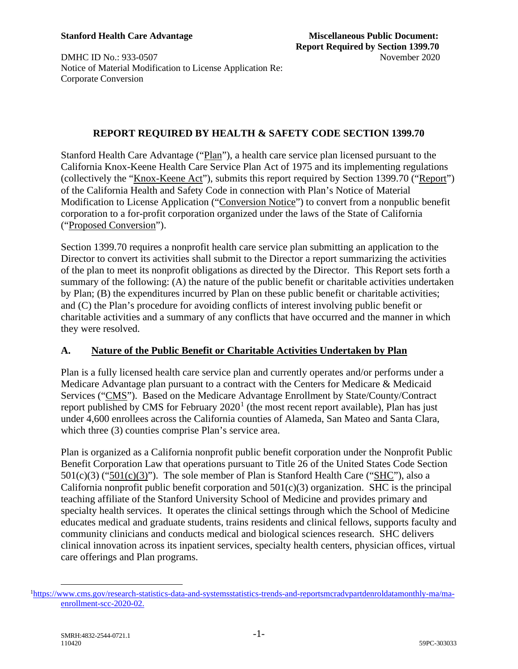**DMHC ID No.: 933-0507** November 2020 Notice of Material Modification to License Application Re: Corporate Conversion

### **REPORT REQUIRED BY HEALTH & SAFETY CODE SECTION 1399.70**

Stanford Health Care Advantage ("Plan"), a health care service plan licensed pursuant to the California Knox-Keene Health Care Service Plan Act of 1975 and its implementing regulations (collectively the "Knox-Keene Act"), submits this report required by Section 1399.70 ("Report") of the California Health and Safety Code in connection with Plan's Notice of Material Modification to License Application ("Conversion Notice") to convert from a nonpublic benefit corporation to a for-profit corporation organized under the laws of the State of California ("Proposed Conversion").

Section 1399.70 requires a nonprofit health care service plan submitting an application to the Director to convert its activities shall submit to the Director a report summarizing the activities of the plan to meet its nonprofit obligations as directed by the Director. This Report sets forth a summary of the following: (A) the nature of the public benefit or charitable activities undertaken by Plan; (B) the expenditures incurred by Plan on these public benefit or charitable activities; and (C) the Plan's procedure for avoiding conflicts of interest involving public benefit or charitable activities and a summary of any conflicts that have occurred and the manner in which they were resolved.

## **A. Nature of the Public Benefit or Charitable Activities Undertaken by Plan**

Plan is a fully licensed health care service plan and currently operates and/or performs under a Medicare Advantage plan pursuant to a contract with the Centers for Medicare & Medicaid Services ("CMS"). Based on the Medicare Advantage Enrollment by State/County/Contract report published by CMS for February  $2020<sup>1</sup>$  $2020<sup>1</sup>$  $2020<sup>1</sup>$  (the most recent report available), Plan has just under 4,600 enrollees across the California counties of Alameda, San Mateo and Santa Clara, which three (3) counties comprise Plan's service area.

Plan is organized as a California nonprofit public benefit corporation under the Nonprofit Public Benefit Corporation Law that operations pursuant to Title 26 of the United States Code Section  $501(c)(3)$  (" $501(c)(3)$ "). The sole member of Plan is Stanford Health Care ("SHC"), also a California nonprofit public benefit corporation and  $501(c)(3)$  organization. SHC is the principal teaching affiliate of the Stanford University School of Medicine and provides primary and specialty health services. It operates the clinical settings through which the School of Medicine educates medical and graduate students, trains residents and clinical fellows, supports faculty and community clinicians and conducts medical and biological sciences research. SHC delivers clinical innovation across its inpatient services, specialty health centers, physician offices, virtual care offerings and Plan programs.

<span id="page-0-0"></span><sup>&</sup>lt;sup>1</sup>[https://www.cms.gov/research-statistics-data-and-systemsstatistics-trends-and-reportsmcradvpartdenroldatamonthly-ma/ma](https://www.cms.gov/research-statistics-data-and-systemsstatistics-trends-and-reportsmcradvpartdenroldatamonthly-ma/ma-enrollment-scc-2020-02)[enrollment-scc-2020-02.](https://www.cms.gov/research-statistics-data-and-systemsstatistics-trends-and-reportsmcradvpartdenroldatamonthly-ma/ma-enrollment-scc-2020-02)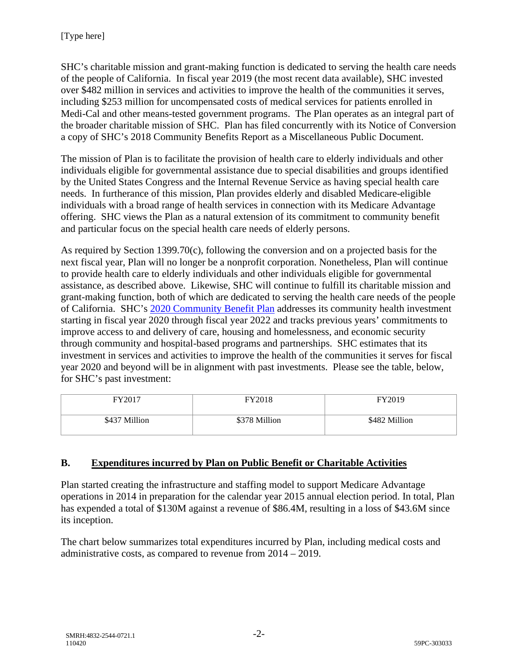SHC's charitable mission and grant-making function is dedicated to serving the health care needs of the people of California. In fiscal year 2019 (the most recent data available), SHC invested over \$482 million in services and activities to improve the health of the communities it serves, including \$253 million for uncompensated costs of medical services for patients enrolled in Medi-Cal and other means-tested government programs. The Plan operates as an integral part of the broader charitable mission of SHC. Plan has filed concurrently with its Notice of Conversion a copy of SHC's 2018 Community Benefits Report as a Miscellaneous Public Document.

The mission of Plan is to facilitate the provision of health care to elderly individuals and other individuals eligible for governmental assistance due to special disabilities and groups identified by the United States Congress and the Internal Revenue Service as having special health care needs. In furtherance of this mission, Plan provides elderly and disabled Medicare-eligible individuals with a broad range of health services in connection with its Medicare Advantage offering. SHC views the Plan as a natural extension of its commitment to community benefit and particular focus on the special health care needs of elderly persons.

As required by Section 1399.70(c), following the conversion and on a projected basis for the next fiscal year, Plan will no longer be a nonprofit corporation. Nonetheless, Plan will continue to provide health care to elderly individuals and other individuals eligible for governmental assistance, as described above. Likewise, SHC will continue to fulfill its charitable mission and grant-making function, both of which are dedicated to serving the health care needs of the people of California. SHC's 2020 Community Benefit Plan addresses its community health investment starting in fiscal year 2020 through fiscal year 2022 and tracks previous years' commitments to improve access to and delivery of care, housing and homelessness, and economic security through community and hospital-based programs and partnerships. SHC estimates that its investment in services and activities to improve the health of the communities it serves for fiscal year 2020 and beyond will be in alignment with past investments. Please see the table, below, for SHC's past investment:

| FY2017        | <b>FY2018</b> | FY2019        |
|---------------|---------------|---------------|
| \$437 Million | \$378 Million | \$482 Million |

# **B. Expenditures incurred by Plan on Public Benefit or Charitable Activities**

Plan started creating the infrastructure and staffing model to support Medicare Advantage operations in 2014 in preparation for the calendar year 2015 annual election period. In total, Plan has expended a total of \$130M against a revenue of \$86.4M, resulting in a loss of \$43.6M since its inception.

The chart below summarizes total expenditures incurred by Plan, including medical costs and administrative costs, as compared to revenue from 2014 – 2019.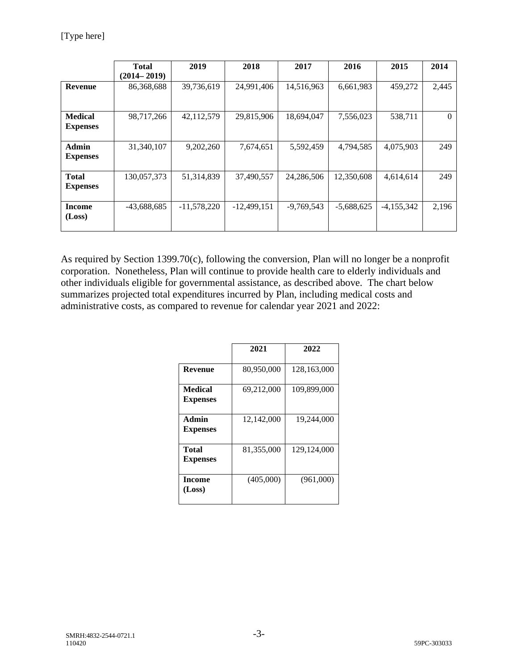| 2014     |
|----------|
|          |
| 2,445    |
|          |
| $\Omega$ |
|          |
| 249      |
|          |
| 249      |
|          |
| 2,196    |
|          |
|          |

As required by Section 1399.70(c), following the conversion, Plan will no longer be a nonprofit corporation. Nonetheless, Plan will continue to provide health care to elderly individuals and other individuals eligible for governmental assistance, as described above. The chart below summarizes projected total expenditures incurred by Plan, including medical costs and administrative costs, as compared to revenue for calendar year 2021 and 2022:

|                                   | 2021       | 2022          |
|-----------------------------------|------------|---------------|
| Revenue                           | 80,950,000 | 128,163,000   |
| <b>Medical</b><br><b>Expenses</b> | 69,212,000 | 109,899,000   |
| Admin<br><b>Expenses</b>          | 12,142,000 | 19,244,000    |
| Total<br><b>Expenses</b>          | 81,355,000 | 129, 124, 000 |
| Income<br>(Loss)                  | (405,000)  | (961,000)     |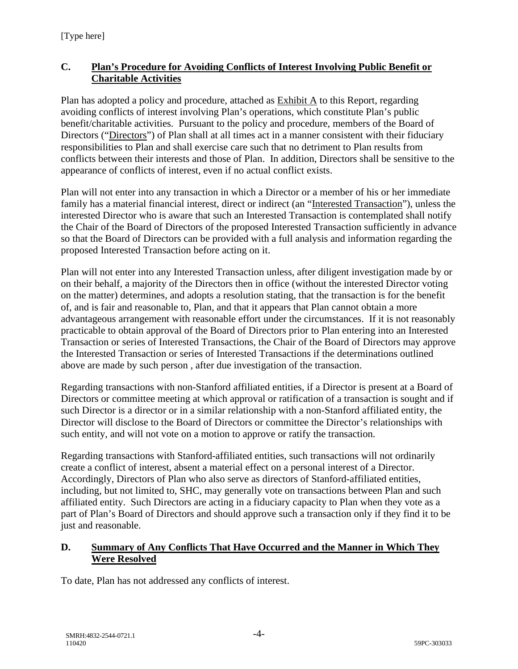# **C. Plan's Procedure for Avoiding Conflicts of Interest Involving Public Benefit or Charitable Activities**

Plan has adopted a policy and procedure, attached as Exhibit A to this Report, regarding avoiding conflicts of interest involving Plan's operations, which constitute Plan's public benefit/charitable activities. Pursuant to the policy and procedure, members of the Board of Directors ("Directors") of Plan shall at all times act in a manner consistent with their fiduciary responsibilities to Plan and shall exercise care such that no detriment to Plan results from conflicts between their interests and those of Plan. In addition, Directors shall be sensitive to the appearance of conflicts of interest, even if no actual conflict exists.

Plan will not enter into any transaction in which a Director or a member of his or her immediate family has a material financial interest, direct or indirect (an "Interested Transaction"), unless the interested Director who is aware that such an Interested Transaction is contemplated shall notify the Chair of the Board of Directors of the proposed Interested Transaction sufficiently in advance so that the Board of Directors can be provided with a full analysis and information regarding the proposed Interested Transaction before acting on it.

Plan will not enter into any Interested Transaction unless, after diligent investigation made by or on their behalf, a majority of the Directors then in office (without the interested Director voting on the matter) determines, and adopts a resolution stating, that the transaction is for the benefit of, and is fair and reasonable to, Plan, and that it appears that Plan cannot obtain a more advantageous arrangement with reasonable effort under the circumstances. If it is not reasonably practicable to obtain approval of the Board of Directors prior to Plan entering into an Interested Transaction or series of Interested Transactions, the Chair of the Board of Directors may approve the Interested Transaction or series of Interested Transactions if the determinations outlined above are made by such person , after due investigation of the transaction.

Regarding transactions with non-Stanford affiliated entities, if a Director is present at a Board of Directors or committee meeting at which approval or ratification of a transaction is sought and if such Director is a director or in a similar relationship with a non-Stanford affiliated entity, the Director will disclose to the Board of Directors or committee the Director's relationships with such entity, and will not vote on a motion to approve or ratify the transaction.

Regarding transactions with Stanford-affiliated entities, such transactions will not ordinarily create a conflict of interest, absent a material effect on a personal interest of a Director. Accordingly, Directors of Plan who also serve as directors of Stanford-affiliated entities, including, but not limited to, SHC, may generally vote on transactions between Plan and such affiliated entity. Such Directors are acting in a fiduciary capacity to Plan when they vote as a part of Plan's Board of Directors and should approve such a transaction only if they find it to be just and reasonable.

# **D. Summary of Any Conflicts That Have Occurred and the Manner in Which They Were Resolved**

To date, Plan has not addressed any conflicts of interest.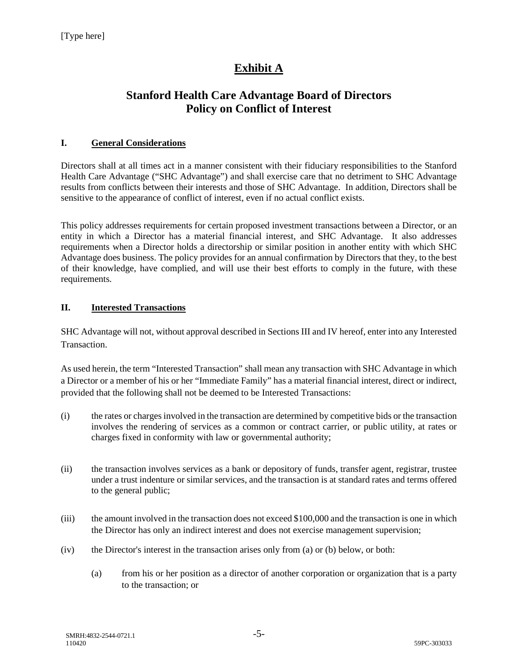# **Exhibit A**

# **Stanford Health Care Advantage Board of Directors Policy on Conflict of Interest**

#### **I. General Considerations**

Directors shall at all times act in a manner consistent with their fiduciary responsibilities to the Stanford Health Care Advantage ("SHC Advantage") and shall exercise care that no detriment to SHC Advantage results from conflicts between their interests and those of SHC Advantage. In addition, Directors shall be sensitive to the appearance of conflict of interest, even if no actual conflict exists.

This policy addresses requirements for certain proposed investment transactions between a Director, or an entity in which a Director has a material financial interest, and SHC Advantage. It also addresses requirements when a Director holds a directorship or similar position in another entity with which SHC Advantage does business. The policy provides for an annual confirmation by Directors that they, to the best of their knowledge, have complied, and will use their best efforts to comply in the future, with these requirements.

#### **II. Interested Transactions**

SHC Advantage will not, without approval described in Sections III and IV hereof, enter into any Interested Transaction.

As used herein, the term "Interested Transaction" shall mean any transaction with SHC Advantage in which a Director or a member of his or her "Immediate Family" has a material financial interest, direct or indirect, provided that the following shall not be deemed to be Interested Transactions:

- (i) the rates or charges involved in the transaction are determined by competitive bids or the transaction involves the rendering of services as a common or contract carrier, or public utility, at rates or charges fixed in conformity with law or governmental authority;
- (ii) the transaction involves services as a bank or depository of funds, transfer agent, registrar, trustee under a trust indenture or similar services, and the transaction is at standard rates and terms offered to the general public;
- (iii) the amount involved in the transaction does not exceed \$100,000 and the transaction is one in which the Director has only an indirect interest and does not exercise management supervision;
- (iv) the Director's interest in the transaction arises only from (a) or (b) below, or both:
	- (a) from his or her position as a director of another corporation or organization that is a party to the transaction; or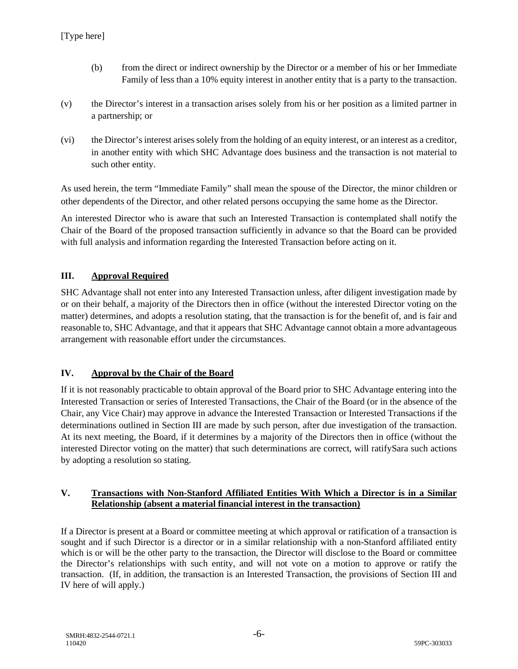- (b) from the direct or indirect ownership by the Director or a member of his or her Immediate Family of less than a 10% equity interest in another entity that is a party to the transaction.
- (v) the Director's interest in a transaction arises solely from his or her position as a limited partner in a partnership; or
- (vi) the Director's interest arises solely from the holding of an equity interest, or an interest as a creditor, in another entity with which SHC Advantage does business and the transaction is not material to such other entity.

As used herein, the term "Immediate Family" shall mean the spouse of the Director, the minor children or other dependents of the Director, and other related persons occupying the same home as the Director.

An interested Director who is aware that such an Interested Transaction is contemplated shall notify the Chair of the Board of the proposed transaction sufficiently in advance so that the Board can be provided with full analysis and information regarding the Interested Transaction before acting on it.

#### **III. Approval Required**

SHC Advantage shall not enter into any Interested Transaction unless, after diligent investigation made by or on their behalf, a majority of the Directors then in office (without the interested Director voting on the matter) determines, and adopts a resolution stating, that the transaction is for the benefit of, and is fair and reasonable to, SHC Advantage, and that it appears that SHC Advantage cannot obtain a more advantageous arrangement with reasonable effort under the circumstances.

#### **IV. Approval by the Chair of the Board**

If it is not reasonably practicable to obtain approval of the Board prior to SHC Advantage entering into the Interested Transaction or series of Interested Transactions, the Chair of the Board (or in the absence of the Chair, any Vice Chair) may approve in advance the Interested Transaction or Interested Transactions if the determinations outlined in Section III are made by such person, after due investigation of the transaction. At its next meeting, the Board, if it determines by a majority of the Directors then in office (without the interested Director voting on the matter) that such determinations are correct, will ratifySara such actions by adopting a resolution so stating.

#### **V. Transactions with Non-Stanford Affiliated Entities With Which a Director is in a Similar Relationship (absent a material financial interest in the transaction)**

If a Director is present at a Board or committee meeting at which approval or ratification of a transaction is sought and if such Director is a director or in a similar relationship with a non-Stanford affiliated entity which is or will be the other party to the transaction, the Director will disclose to the Board or committee the Director's relationships with such entity, and will not vote on a motion to approve or ratify the transaction. (If, in addition, the transaction is an Interested Transaction, the provisions of Section III and IV here of will apply.)